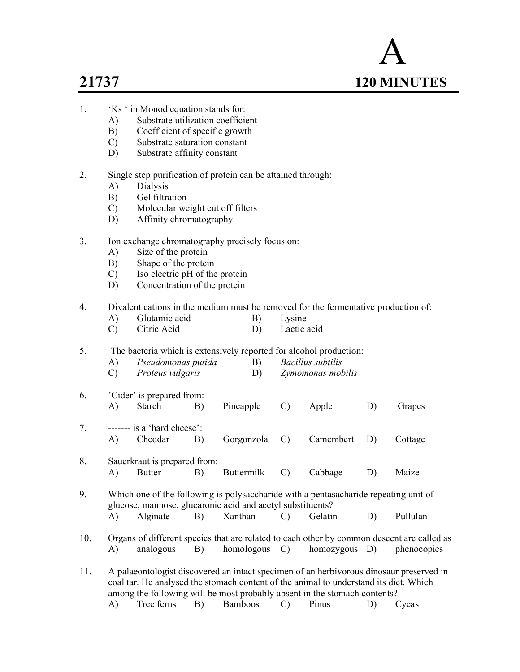# A 21737 120 MINUTES

- 1. 'Ks ' in Monod equation stands for:
	- A) Substrate utilization coefficient
	- B) Coefficient of specific growth
	- C) Substrate saturation constant
	- D) Substrate affinity constant
- 2. Single step purification of protein can be attained through:
	- A) Dialysis
	- B) Gel filtration
	- C) Molecular weight cut off filters
	- D) Affinity chromatography
- 3. Ion exchange chromatography precisely focus on:
	- A) Size of the protein
	- B) Shape of the protein
	- C) Iso electric pH of the protein
	- D) Concentration of the protein

4. Divalent cations in the medium must be removed for the fermentative production of:

- A) Glutamic acid B) Lysine C) Citric Acid D) Lactic acid
- 5. The bacteria which is extensively reported for alcohol production:

| Pseudomonas putida      | Bacillus subtilis |
|-------------------------|-------------------|
| <i>Proteus vulgaris</i> | Zymomonas mobilis |

- 6. 'Cider' is prepared from: A) Starch B) Pineapple C) Apple D) Grapes 7.  $\cdots$  ------ is a 'hard cheese':
- A) Cheddar B) Gorgonzola C) Camembert D) Cottage 8. Sauerkraut is prepared from:
	- A) Butter B) Buttermilk C) Cabbage D) Maize
- 9. Which one of the following is polysaccharide with a pentasacharide repeating unit of glucose, mannose, glucaronic acid and acetyl substituents? A) Alginate B) Xanthan C) Gelatin D) Pullulan
- 10. Organs of different species that are related to each other by common descent are called as A) analogous B) homologous C) homozygous D) phenocopies
- 11. A palaeontologist discovered an intact specimen of an herbivorous dinosaur preserved in coal tar. He analysed the stomach content of the animal to understand its diet. Which among the following will be most probably absent in the stomach contents? A) Tree ferns B) Bamboos C) Pinus D) Cycas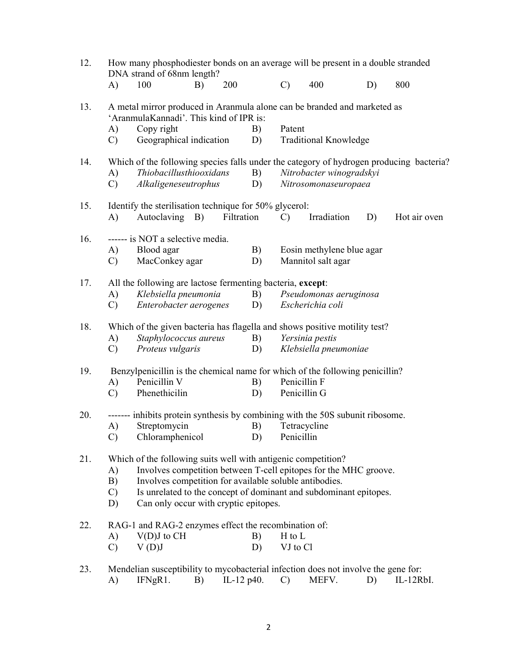| 12. | How many phosphodiester bonds on an average will be present in a double stranded<br>DNA strand of 68nm length? |                                                                                                                     |    |               |    |               |                              |    |                                                                                         |
|-----|----------------------------------------------------------------------------------------------------------------|---------------------------------------------------------------------------------------------------------------------|----|---------------|----|---------------|------------------------------|----|-----------------------------------------------------------------------------------------|
|     | A)                                                                                                             | 100                                                                                                                 | B) | 200           |    | $\mathcal{C}$ | 400                          | D) | 800                                                                                     |
| 13. |                                                                                                                | A metal mirror produced in Aranmula alone can be branded and marketed as<br>'AranmulaKannadi'. This kind of IPR is: |    |               |    |               |                              |    |                                                                                         |
|     | A)                                                                                                             | Copy right                                                                                                          |    |               | B) | Patent        |                              |    |                                                                                         |
|     | $\mathcal{C}$                                                                                                  | Geographical indication                                                                                             |    |               | D) |               | <b>Traditional Knowledge</b> |    |                                                                                         |
| 14. |                                                                                                                |                                                                                                                     |    |               |    |               |                              |    | Which of the following species falls under the category of hydrogen producing bacteria? |
|     | A)                                                                                                             | Thiobacillusthiooxidans                                                                                             |    |               | B) |               | Nitrobacter winogradskyi     |    |                                                                                         |
|     | $\mathcal{C}$                                                                                                  | Alkaligeneseutrophus                                                                                                |    |               | D) |               | Nitrosomonaseuropaea         |    |                                                                                         |
| 15. |                                                                                                                | Identify the sterilisation technique for 50% glycerol:                                                              |    |               |    |               |                              |    |                                                                                         |
|     | A)                                                                                                             | Autoclaving B)                                                                                                      |    | Filtration    |    | $\mathcal{C}$ | Irradiation                  | D) | Hot air oven                                                                            |
| 16. |                                                                                                                | ------ is NOT a selective media.                                                                                    |    |               | B) |               |                              |    |                                                                                         |
|     | A)                                                                                                             | Blood agar<br>MacConkey agar                                                                                        |    |               |    |               | Eosin methylene blue agar    |    |                                                                                         |
|     | $\mathcal{C}$                                                                                                  |                                                                                                                     |    |               | D) |               | Mannitol salt agar           |    |                                                                                         |
| 17. |                                                                                                                | All the following are lactose fermenting bacteria, except:                                                          |    |               |    |               |                              |    |                                                                                         |
|     | A)                                                                                                             | Klebsiella pneumonia                                                                                                |    |               | B) |               | Pseudomonas aeruginosa       |    |                                                                                         |
|     | C)                                                                                                             | Enterobacter aerogenes                                                                                              |    |               | D) |               | Escherichia coli             |    |                                                                                         |
| 18. |                                                                                                                | Which of the given bacteria has flagella and shows positive motility test?                                          |    |               |    |               |                              |    |                                                                                         |
|     | A)                                                                                                             | Staphylococcus aureus                                                                                               |    |               | B) |               | Yersinia pestis              |    |                                                                                         |
|     | $\mathcal{C}$                                                                                                  | Proteus vulgaris                                                                                                    |    |               | D) |               | Klebsiella pneumoniae        |    |                                                                                         |
| 19. |                                                                                                                | Benzylpenicillin is the chemical name for which of the following penicillin?                                        |    |               |    |               |                              |    |                                                                                         |
|     | A)                                                                                                             | Penicillin V                                                                                                        |    |               | B) | Penicillin F  |                              |    |                                                                                         |
|     | $\mathcal{C}$                                                                                                  | Phenethicilin                                                                                                       |    |               | D) |               | Penicillin G                 |    |                                                                                         |
| 20. |                                                                                                                | ------- inhibits protein synthesis by combining with the 50S subunit ribosome.                                      |    |               |    |               |                              |    |                                                                                         |
|     | A)                                                                                                             | Streptomycin                                                                                                        |    |               | B) |               | Tetracycline                 |    |                                                                                         |
|     | $\mathbf{C}$ )                                                                                                 | Chloramphenicol                                                                                                     |    |               | D) | Penicillin    |                              |    |                                                                                         |
| 21. |                                                                                                                | Which of the following suits well with antigenic competition?                                                       |    |               |    |               |                              |    |                                                                                         |
|     | A)                                                                                                             | Involves competition between T-cell epitopes for the MHC groove.                                                    |    |               |    |               |                              |    |                                                                                         |
|     | B)                                                                                                             | Involves competition for available soluble antibodies.                                                              |    |               |    |               |                              |    |                                                                                         |
|     | $\mathcal{C}$                                                                                                  | Is unrelated to the concept of dominant and subdominant epitopes.                                                   |    |               |    |               |                              |    |                                                                                         |
|     | D)                                                                                                             | Can only occur with cryptic epitopes.                                                                               |    |               |    |               |                              |    |                                                                                         |
| 22. |                                                                                                                | RAG-1 and RAG-2 enzymes effect the recombination of:                                                                |    |               |    |               |                              |    |                                                                                         |
|     | A)                                                                                                             | $V(D)J$ to $CH$                                                                                                     |    |               | B) | H to L        |                              |    |                                                                                         |
|     | $\mathcal{C}$                                                                                                  | V(D)J                                                                                                               |    |               | D) | VJ to Cl      |                              |    |                                                                                         |
| 23. |                                                                                                                | Mendelian susceptibility to mycobacterial infection does not involve the gene for:                                  |    |               |    |               |                              |    |                                                                                         |
|     | A)                                                                                                             | IFNgR1.                                                                                                             | B) | IL-12 $p40$ . |    | $\mathcal{C}$ | MEFV.                        | D) | IL-12RbI.                                                                               |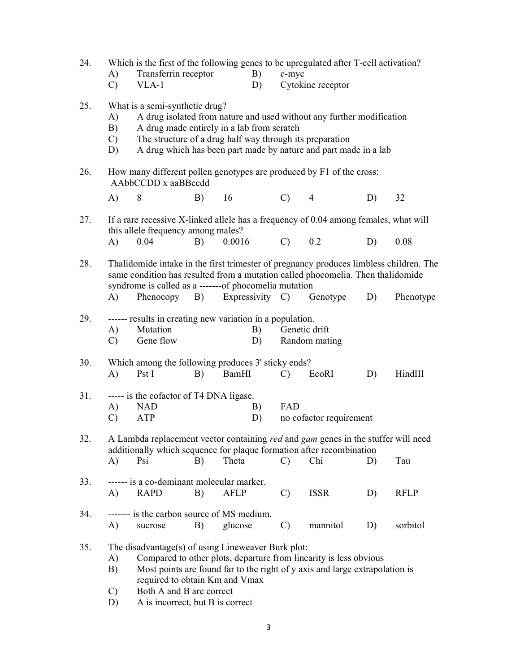| 24. | A)<br>$\mathcal{C}$       | Which is the first of the following genes to be upregulated after T-cell activation?<br>Transferrin receptor<br>$VLA-1$                                                                                                            |    |             | B)<br>D) | c-myc          | Cytokine receptor                                                                                                                                                                                     |    |             |
|-----|---------------------------|------------------------------------------------------------------------------------------------------------------------------------------------------------------------------------------------------------------------------------|----|-------------|----------|----------------|-------------------------------------------------------------------------------------------------------------------------------------------------------------------------------------------------------|----|-------------|
| 25. | A)<br>B)<br>C)<br>D)      | What is a semi-synthetic drug?<br>A drug made entirely in a lab from scratch                                                                                                                                                       |    |             |          |                | A drug isolated from nature and used without any further modification<br>The structure of a drug half way through its preparation<br>A drug which has been part made by nature and part made in a lab |    |             |
| 26. |                           | How many different pollen genotypes are produced by F1 of the cross:<br>AAbbCCDD x aaBBccdd                                                                                                                                        |    |             |          |                |                                                                                                                                                                                                       |    |             |
|     | A)                        | 8                                                                                                                                                                                                                                  | B) | 16          |          | $(C)$ 4        |                                                                                                                                                                                                       | D) | 32          |
| 27. | (A)                       | If a rare recessive X-linked allele has a frequency of 0.04 among females, what will<br>this allele frequency among males?<br>0.04                                                                                                 | B) | 0.0016      |          | $\mathbf{C}$ ) | 0.2                                                                                                                                                                                                   | D) | 0.08        |
| 28. |                           | Thalidomide intake in the first trimester of pregnancy produces limbless children. The<br>same condition has resulted from a mutation called phocomelia. Then thalidomide<br>syndrome is called as a -------of phocomelia mutation |    |             |          |                |                                                                                                                                                                                                       |    |             |
|     | A)                        | Phenocopy B) Expressivity C) Genotype                                                                                                                                                                                              |    |             |          |                |                                                                                                                                                                                                       | D) | Phenotype   |
| 29. | A)<br>$\mathbf{C}$        | ------ results in creating new variation in a population.<br>Mutation<br>Gene flow                                                                                                                                                 |    |             | B)<br>D) |                | Genetic drift<br>Random mating                                                                                                                                                                        |    |             |
| 30. | A)                        | Which among the following produces 3' sticky ends?<br>Pst I                                                                                                                                                                        | B) | BamHI       |          | $\mathcal{C}$  | EcoRI                                                                                                                                                                                                 | D) | HindIII     |
| 31. | A)<br>$\mathcal{C}$       | ----- is the cofactor of T4 DNA ligase.<br><b>NAD</b><br>ATP                                                                                                                                                                       |    |             | B)<br>D) | FAD            | no cofactor requirement                                                                                                                                                                               |    |             |
| 32. |                           | A Lambda replacement vector containing red and gam genes in the stuffer will need<br>additionally which sequence for plaque formation after recombination                                                                          |    |             |          |                |                                                                                                                                                                                                       |    |             |
|     | A)                        | Psi                                                                                                                                                                                                                                | B) | Theta       |          | $\mathcal{C}$  | Chi                                                                                                                                                                                                   | D) | Tau         |
| 33. | A)                        | ------ is a co-dominant molecular marker.<br><b>RAPD</b>                                                                                                                                                                           | B) | <b>AFLP</b> |          | $\mathcal{C}$  | <b>ISSR</b>                                                                                                                                                                                           | D) | <b>RFLP</b> |
| 34. | A)                        | ------- is the carbon source of MS medium.<br>sucrose                                                                                                                                                                              | B) | glucose     |          | $\mathcal{C}$  | mannitol                                                                                                                                                                                              | D) | sorbitol    |
| 35. | A)<br>B)<br>$\mathcal{C}$ | The disadvantage(s) of using Lineweaver Burk plot:<br>required to obtain Km and Vmax<br>Both A and B are correct                                                                                                                   |    |             |          |                | Compared to other plots, departure from linearity is less obvious<br>Most points are found far to the right of y axis and large extrapolation is                                                      |    |             |
|     |                           |                                                                                                                                                                                                                                    |    |             |          |                |                                                                                                                                                                                                       |    |             |

D) A is incorrect, but B is correct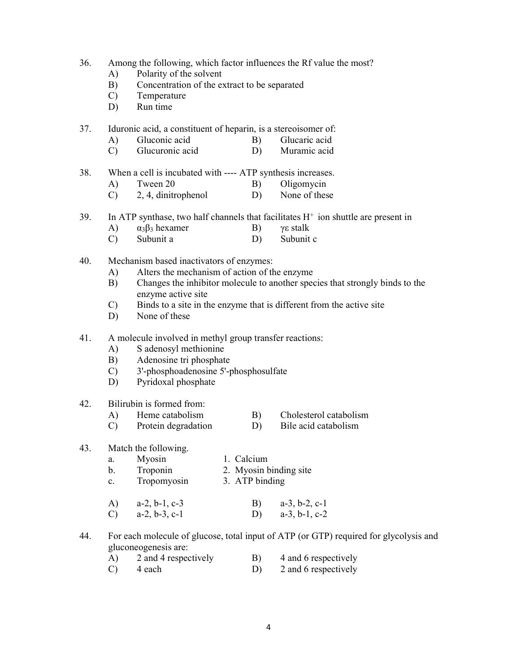#### 36. Among the following, which factor influences the Rf value the most?

- A) Polarity of the solvent
- B) Concentration of the extract to be separated
- C) Temperature
- D) Run time
- 37. Iduronic acid, a constituent of heparin, is a stereoisomer of:
	- A) Gluconic acid B) Glucaric acid
	- C) Glucuronic acid D) Muramic acid
- 38. When a cell is incubated with ---- ATP synthesis increases.
	- A) Tween 20 B) Oligomycin
	- C) 2, 4, dinitrophenol D) None of these
- 39. In ATP synthase, two half channels that facilitates  $H^+$  ion shuttle are present in
	- A)  $\alpha_3\beta_3$  hexamer B) γε stalk
	- C) Subunit a D) Subunit c
- 40. Mechanism based inactivators of enzymes:
	- A) Alters the mechanism of action of the enzyme
	- B) Changes the inhibitor molecule to another species that strongly binds to the enzyme active site
	- C) Binds to a site in the enzyme that is different from the active site
	- D) None of these
- 41. A molecule involved in methyl group transfer reactions:
	- A) S adenosyl methionine
	- B) Adenosine tri phosphate
	- C) 3'-phosphoadenosine 5'-phosphosulfate
	- D) Pyridoxal phosphate

#### 42. Bilirubin is formed from:

- A) Heme catabolism B) Cholesterol catabolism<br>
C) Protein degradation D) Bile acid catabolism
- $(C)$  Protein degradation  $D$ )

#### 43. Match the following.

| Mvosin |  | 1. Calcium |
|--------|--|------------|
|--------|--|------------|

- b. Troponin 2. Myosin binding site
- c. Tropomyosin 3. ATP binding
- A) a-2, b-1, c-3 B) a-3, b-2, c-1 C) a-2, b-3, c-1 D) a-3, b-1, c-2
- 44. For each molecule of glucose, total input of ATP (or GTP) required for glycolysis and gluconeogenesis are:

| 2 and 4 respectively | 4 and 6 respectively |
|----------------------|----------------------|
| 4 each               | 2 and 6 respectively |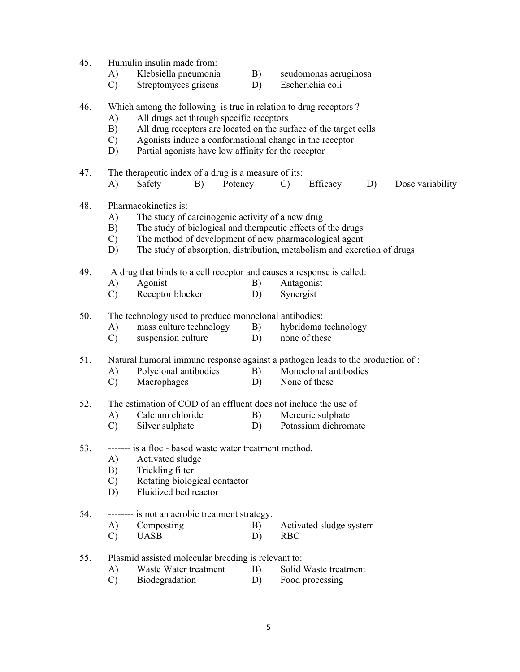| 45. | Humulin insulin made from:                                                      |                                                                                                              |         |               |                         |    |                  |  |  |  |
|-----|---------------------------------------------------------------------------------|--------------------------------------------------------------------------------------------------------------|---------|---------------|-------------------------|----|------------------|--|--|--|
|     | A)                                                                              | Klebsiella pneumonia                                                                                         | B)      |               | seudomonas aeruginosa   |    |                  |  |  |  |
|     | $\mathcal{C}$                                                                   | Streptomyces griseus                                                                                         | D)      |               | Escherichia coli        |    |                  |  |  |  |
| 46. |                                                                                 |                                                                                                              |         |               |                         |    |                  |  |  |  |
|     |                                                                                 | Which among the following is true in relation to drug receptors?<br>All drugs act through specific receptors |         |               |                         |    |                  |  |  |  |
|     | A)                                                                              |                                                                                                              |         |               |                         |    |                  |  |  |  |
|     | B)                                                                              | All drug receptors are located on the surface of the target cells                                            |         |               |                         |    |                  |  |  |  |
|     | C)                                                                              | Agonists induce a conformational change in the receptor                                                      |         |               |                         |    |                  |  |  |  |
|     | D)                                                                              | Partial agonists have low affinity for the receptor                                                          |         |               |                         |    |                  |  |  |  |
| 47. |                                                                                 | The therapeutic index of a drug is a measure of its:                                                         |         |               |                         |    |                  |  |  |  |
|     | A)                                                                              | Safety<br>B)                                                                                                 | Potency | $\mathcal{C}$ | Efficacy                | D) | Dose variability |  |  |  |
| 48. |                                                                                 | Pharmacokinetics is:                                                                                         |         |               |                         |    |                  |  |  |  |
|     | A)                                                                              | The study of carcinogenic activity of a new drug                                                             |         |               |                         |    |                  |  |  |  |
|     | B)                                                                              | The study of biological and therapeutic effects of the drugs                                                 |         |               |                         |    |                  |  |  |  |
|     | $\mathcal{C}$                                                                   | The method of development of new pharmacological agent                                                       |         |               |                         |    |                  |  |  |  |
|     | D)                                                                              | The study of absorption, distribution, metabolism and excretion of drugs                                     |         |               |                         |    |                  |  |  |  |
| 49. |                                                                                 | A drug that binds to a cell receptor and causes a response is called:                                        |         |               |                         |    |                  |  |  |  |
|     | A)                                                                              | Agonist                                                                                                      | B)      | Antagonist    |                         |    |                  |  |  |  |
|     | $\mathcal{C}$                                                                   | Receptor blocker                                                                                             | D)      | Synergist     |                         |    |                  |  |  |  |
| 50. | The technology used to produce monoclonal antibodies:                           |                                                                                                              |         |               |                         |    |                  |  |  |  |
|     | A)                                                                              | mass culture technology                                                                                      | B)      |               | hybridoma technology    |    |                  |  |  |  |
|     | $\mathcal{C}$                                                                   | suspension culture                                                                                           | D)      | none of these |                         |    |                  |  |  |  |
|     |                                                                                 |                                                                                                              |         |               |                         |    |                  |  |  |  |
| 51. | Natural humoral immune response against a pathogen leads to the production of : |                                                                                                              |         |               |                         |    |                  |  |  |  |
|     | A)                                                                              | Polyclonal antibodies                                                                                        | B)      |               | Monoclonal antibodies   |    |                  |  |  |  |
|     | $\mathcal{C}$                                                                   | Macrophages                                                                                                  | D)      | None of these |                         |    |                  |  |  |  |
| 52. |                                                                                 | The estimation of COD of an effluent does not include the use of                                             |         |               |                         |    |                  |  |  |  |
|     | A)                                                                              | Calcium chloride                                                                                             | B)      |               | Mercuric sulphate       |    |                  |  |  |  |
|     | $\mathcal{C}$                                                                   | Silver sulphate                                                                                              | D)      |               | Potassium dichromate    |    |                  |  |  |  |
|     |                                                                                 |                                                                                                              |         |               |                         |    |                  |  |  |  |
| 53. |                                                                                 | ------- is a floc - based waste water treatment method.                                                      |         |               |                         |    |                  |  |  |  |
|     | A)                                                                              | Activated sludge                                                                                             |         |               |                         |    |                  |  |  |  |
|     | B)                                                                              | Trickling filter                                                                                             |         |               |                         |    |                  |  |  |  |
|     | $\mathcal{C}$                                                                   | Rotating biological contactor                                                                                |         |               |                         |    |                  |  |  |  |
|     | D)                                                                              | Fluidized bed reactor                                                                                        |         |               |                         |    |                  |  |  |  |
| 54. |                                                                                 | -------- is not an aerobic treatment strategy.                                                               |         |               |                         |    |                  |  |  |  |
|     | A)                                                                              | Composting                                                                                                   | B)      |               | Activated sludge system |    |                  |  |  |  |
|     | $\mathcal{C}$                                                                   | <b>UASB</b>                                                                                                  | D)      | <b>RBC</b>    |                         |    |                  |  |  |  |
| 55. |                                                                                 | Plasmid assisted molecular breeding is relevant to:                                                          |         |               |                         |    |                  |  |  |  |
|     | A)                                                                              | Waste Water treatment                                                                                        | B)      |               | Solid Waste treatment   |    |                  |  |  |  |
|     |                                                                                 |                                                                                                              |         |               |                         |    |                  |  |  |  |

C) Biodegradation D) Food processing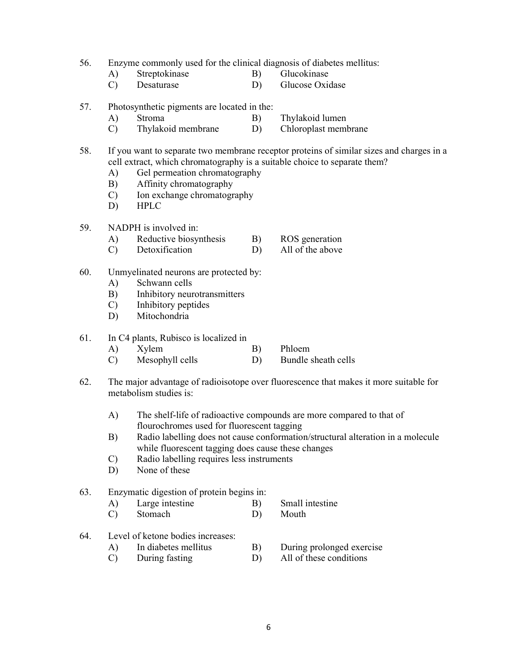56. Enzyme commonly used for the clinical diagnosis of diabetes mellitus:

- A) Streptokinase B) Glucokinase
- C) Desaturase D) Glucose Oxidase
- 57. Photosynthetic pigments are located in the:
	- A) Stroma B) Thylakoid lumen
	- C) Thylakoid membrane D) Chloroplast membrane
- 58. If you want to separate two membrane receptor proteins of similar sizes and charges in a cell extract, which chromatography is a suitable choice to separate them?
	- A) Gel permeation chromatography
	- B) Affinity chromatography
	- C) Ion exchange chromatography<br>D) HPLC
	- **HPLC**
- 59. NADPH is involved in:
	- A) Reductive biosynthesis B) ROS generation
	- C) Detoxification D) All of the above
- 60. Unmyelinated neurons are protected by:
	- A) Schwann cells
	- B) Inhibitory neurotransmitters
	- C) Inhibitory peptides
	- D) Mitochondria

#### 61. In C4 plants, Rubisco is localized in

- A) Xylem B) Phloem C) Mesophyll cells D) Bundle sheath cells
- 62. The major advantage of radioisotope over fluorescence that makes it more suitable for
	- metabolism studies is:
		- A) The shelf-life of radioactive compounds are more compared to that of flourochromes used for fluorescent tagging
		- B) Radio labelling does not cause conformation/structural alteration in a molecule while fluorescent tagging does cause these changes
		- C) Radio labelling requires less instruments
		- D) None of these

#### 63. Enzymatic digestion of protein begins in:

- A) Large intestine B) Small intestine
- C) Stomach D) Mouth
- 64. Level of ketone bodies increases:
	- A) In diabetes mellitus B) During prolonged exercise
	- C) During fasting D) All of these conditions
- - 6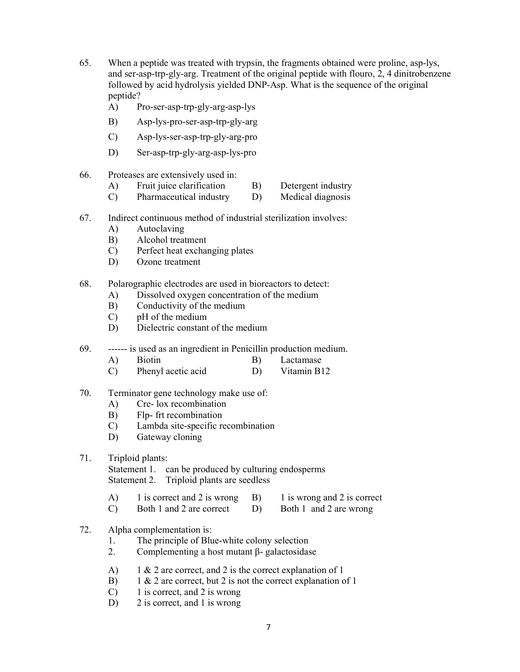- 65. When a peptide was treated with trypsin, the fragments obtained were proline, asp-lys, and ser-asp-trp-gly-arg. Treatment of the original peptide with flouro, 2, 4 dinitrobenzene followed by acid hydrolysis yielded DNP-Asp. What is the sequence of the original peptide?
	- A) Pro-ser-asp-trp-gly-arg-asp-lys
	- B) Asp-lys-pro-ser-asp-trp-gly-arg
	- C) Asp-lys-ser-asp-trp-gly-arg-pro
	- D) Ser-asp-trp-gly-arg-asp-lys-pro
- 66. Proteases are extensively used in:
	- A) Fruit juice clarification B) Detergent industry
	- C) Pharmaceutical industry D) Medical diagnosis
- 67. Indirect continuous method of industrial sterilization involves:
	- A) Autoclaving
	- B) Alcohol treatment
	- C) Perfect heat exchanging plates
	- D) Ozone treatment
- 68. Polarographic electrodes are used in bioreactors to detect:
	- A) Dissolved oxygen concentration of the medium
	- B) Conductivity of the medium
	- C) pH of the medium
	- D) Dielectric constant of the medium
- 69. ------ is used as an ingredient in Penicillin production medium.
	- A) Biotin B) Lactamase
	- C) Phenyl acetic acid D) Vitamin B12
- 70. Terminator gene technology make use of:
	- A) Cre- lox recombination
	- B) Flp- frt recombination
	- C) Lambda site-specific recombination
	- D) Gateway cloning
- 71. Triploid plants: Statement 1. can be produced by culturing endosperms Statement 2. Triploid plants are seedless
	- A) 1 is correct and 2 is wrong B) 1 is wrong and 2 is correct
	- C) Both 1 and 2 are correct D) Both 1 and 2 are wrong
- 72. Alpha complementation is:
	- 1. The principle of Blue-white colony selection
	- 2. Complementing a host mutant β- galactosidase
	- A) 1 & 2 are correct, and 2 is the correct explanation of 1
	- B) 1 & 2 are correct, but 2 is not the correct explanation of 1
	- C) 1 is correct, and 2 is wrong
	- D) 2 is correct, and 1 is wrong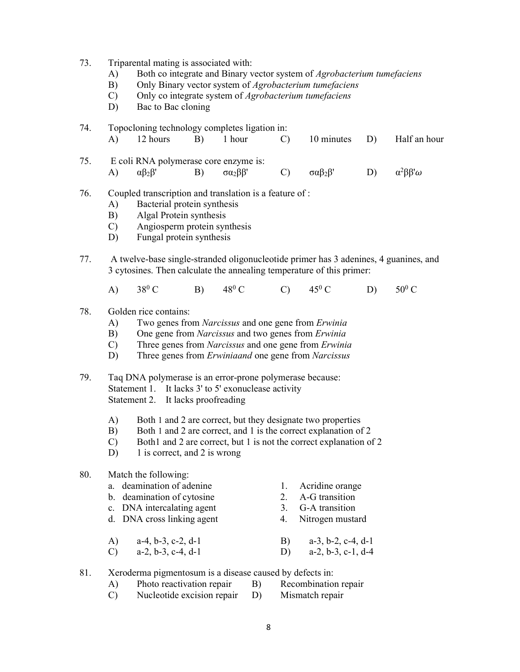73. Triparental mating is associated with:

- A) Both co integrate and Binary vector system of *Agrobacterium tumefaciens*
- B) Only Binary vector system of Agrobacterium tumefaciens
- C) Only co integrate system of Agrobacterium tumefaciens
- D) Bac to Bac cloning
- 74. Topocloning technology completes ligation in: A) 12 hours B) 1 hour C) 10 minutes D) Half an hour
- 75. E coli RNA polymerase core enzyme is: A)  $\alpha\beta_2\beta'$  B) σα<sub>2</sub>ββ' C) σαβ<sub>2</sub>β' D) α<sup>2</sup>ββ'ω
- 76. Coupled transcription and translation is a feature of :
	- A) Bacterial protein synthesis
	- B) Algal Protein synthesis
	- C) Angiosperm protein synthesis
	- D) Fungal protein synthesis
- 77. A twelve-base single-stranded oligonucleotide primer has 3 adenines, 4 guanines, and 3 cytosines. Then calculate the annealing temperature of this primer:
	- A)  $38^0$  C B)  $48^{\circ}$  C C)  $45^{\circ}$  C  $D$ )  $50^0$  C

#### 78. Golden rice contains:

- A) Two genes from Narcissus and one gene from Erwinia
- B) One gene from Narcissus and two genes from Erwinia
- C) Three genes from Narcissus and one gene from Erwinia
- D) Three genes from *Erwiniaand* one gene from *Narcissus*
- 79. Taq DNA polymerase is an error-prone polymerase because: Statement 1. It lacks 3' to 5' exonuclease activity Statement 2. It lacks proofreading
	- A) Both 1 and 2 are correct, but they designate two properties
	- B) Both 1 and 2 are correct, and 1 is the correct explanation of 2
	- C) Both1 and 2 are correct, but 1 is not the correct explanation of 2
	- D) 1 is correct, and 2 is wrong

#### 80. Match the following:

- a. deamination of adenine 1. Acridine orange b. deamination of cytosine 2. A-G transition
- c. DNA intercalating agent 3. G-A transition
- d. DNA cross linking agent 4. Nitrogen mustard
- 
- 
- A) a-4, b-3, c-2, d-1 B) a-3, b-2, c-4, d-1
- C) a-2, b-3, c-4, d-1 D) a-2, b-3, c-1, d-4
- 81. Xeroderma pigmentosum is a disease caused by defects in:
	- A) Photo reactivation repair B) Recombination repair
	- C) Nucleotide excision repair D) Mismatch repair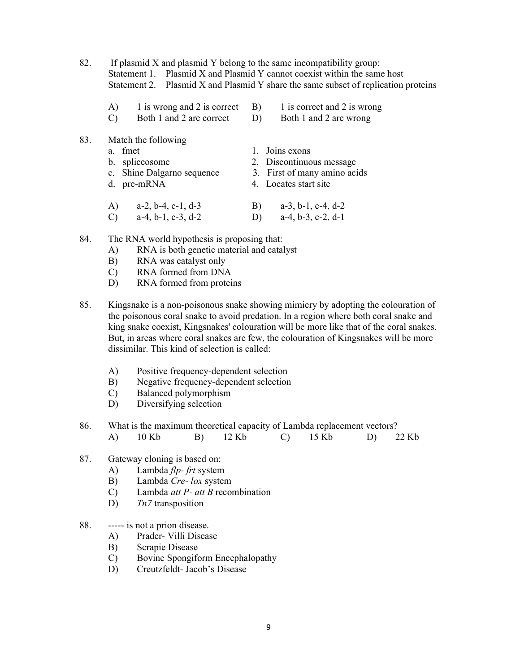- 82. If plasmid X and plasmid Y belong to the same incompatibility group: Statement 1. Plasmid X and Plasmid Y cannot coexist within the same host Statement 2. Plasmid X and Plasmid Y share the same subset of replication proteins
	- A) 1 is wrong and 2 is correct B) 1 is correct and 2 is wrong C) Both 1 and 2 are correct D) Both 1 and 2 are wrong
- 83. Match the following
	-
	-
	- c. Shine Dalgarno sequence 3. First of many amino acids
	-
	- a. fmet 1. Joins exons
	- b. spliceosome 2. Discontinuous message
		-
	- d. pre-mRNA 4. Locates start site
	- A) a-2, b-4, c-1, d-3 B) a-3, b-1, c-4, d-2 C) a-4, b-1, c-3, d-2 D) a-4, b-3, c-2, d-1
- 84. The RNA world hypothesis is proposing that:
	- A) RNA is both genetic material and catalyst
	- B) RNA was catalyst only
	- C) RNA formed from DNA
	- D) RNA formed from proteins
- 85. Kingsnake is a non-poisonous snake showing mimicry by adopting the colouration of the poisonous coral snake to avoid predation. In a region where both coral snake and king snake coexist, Kingsnakes' colouration will be more like that of the coral snakes. But, in areas where coral snakes are few, the colouration of Kingsnakes will be more dissimilar. This kind of selection is called:
	- A) Positive frequency-dependent selection
	- B) Negative frequency-dependent selection
	- C) Balanced polymorphism
	- D) Diversifying selection
- 86. What is the maximum theoretical capacity of Lambda replacement vectors? A) 10 Kb B) 12 Kb C) 15 Kb D) 22 Kb
- 87. Gateway cloning is based on:
	- A) Lambda *flp- frt* system
	- B) Lambda Cre- lox system
	- C) Lambda *att P- att B* recombination
	- D)  $Tn7$  transposition
- 88. ----- is not a prion disease.
	- A) Prader- Villi Disease
	- B) Scrapie Disease
	- C) Bovine Spongiform Encephalopathy
	- D) Creutzfeldt- Jacob's Disease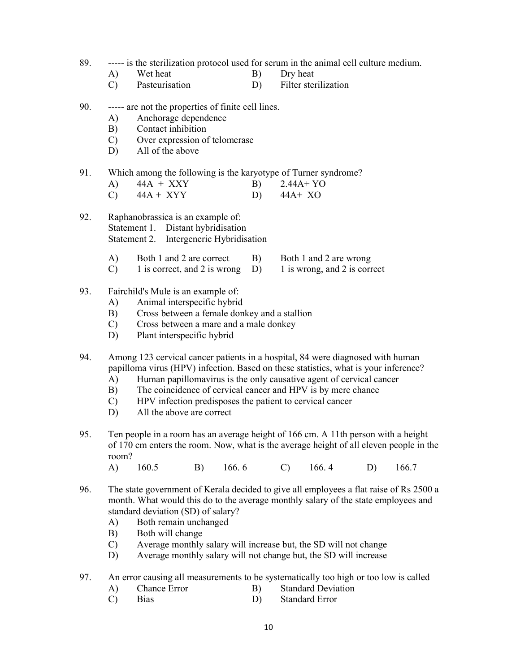- 89. ----- is the sterilization protocol used for serum in the animal cell culture medium.
	- A) Wet heat B) Dry heat
	- C) Pasteurisation D) Filter sterilization
- 90. ----- are not the properties of finite cell lines.
	- A) Anchorage dependence
	- B) Contact inhibition
	- C) Over expression of telomerase
	- D) All of the above
- 91. Which among the following is the karyotype of Turner syndrome?

| $44A + XXY$    | $2.44A+YO$ |
|----------------|------------|
| $\overline{1}$ | $\cdots$   |

- C)  $44A + XYY$  D)  $44A + XO$
- 92. Raphanobrassica is an example of: Statement 1. Distant hybridisation Statement 2. Intergeneric Hybridisation
	- A) Both 1 and 2 are correct B) Both 1 and 2 are wrong
	- C) 1 is correct, and 2 is wrong D) 1 is wrong, and 2 is correct

### 93. Fairchild's Mule is an example of:

- A) Animal interspecific hybrid
- B) Cross between a female donkey and a stallion
- C) Cross between a mare and a male donkey
- D) Plant interspecific hybrid
- 94. Among 123 cervical cancer patients in a hospital, 84 were diagnosed with human papilloma virus (HPV) infection. Based on these statistics, what is your inference?
	- A) Human papillomavirus is the only causative agent of cervical cancer
	- B) The coincidence of cervical cancer and HPV is by mere chance
	- C) HPV infection predisposes the patient to cervical cancer
	- D) All the above are correct
- 95. Ten people in a room has an average height of 166 cm. A 11th person with a height of 170 cm enters the room. Now, what is the average height of all eleven people in the room?

A) 160.5 B) 166. 6 C) 166. 4 D) 166.7

- 96. The state government of Kerala decided to give all employees a flat raise of Rs 2500 a month. What would this do to the average monthly salary of the state employees and standard deviation (SD) of salary?
	- A) Both remain unchanged
	- B) Both will change
	- C) Average monthly salary will increase but, the SD will not change
	- D) Average monthly salary will not change but, the SD will increase
- 97. An error causing all measurements to be systematically too high or too low is called
	- A) Chance Error B) Standard Deviation
	- C) Bias D) Standard Error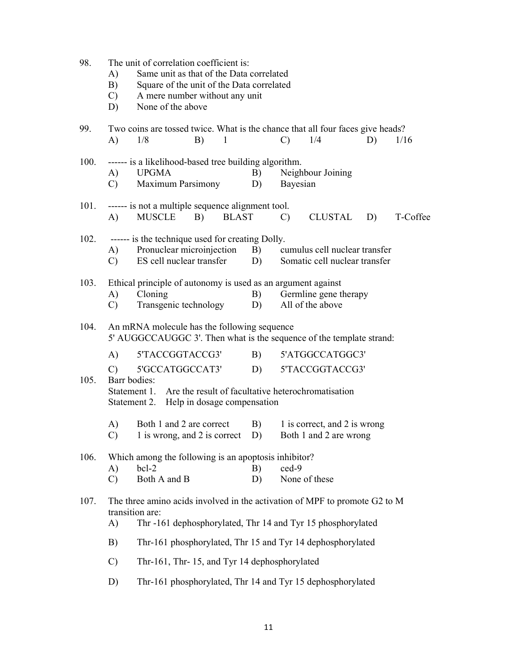| 98.                                                        | The unit of correlation coefficient is:  |                                                                                                                     |    |              |    |                |                                                                                |    |          |  |  |
|------------------------------------------------------------|------------------------------------------|---------------------------------------------------------------------------------------------------------------------|----|--------------|----|----------------|--------------------------------------------------------------------------------|----|----------|--|--|
|                                                            | A)                                       | Same unit as that of the Data correlated                                                                            |    |              |    |                |                                                                                |    |          |  |  |
|                                                            | B)                                       | Square of the unit of the Data correlated                                                                           |    |              |    |                |                                                                                |    |          |  |  |
|                                                            | $\mathcal{C}$ )                          | A mere number without any unit                                                                                      |    |              |    |                |                                                                                |    |          |  |  |
|                                                            | D)                                       | None of the above                                                                                                   |    |              |    |                |                                                                                |    |          |  |  |
| 99.                                                        |                                          |                                                                                                                     |    |              |    |                | Two coins are tossed twice. What is the chance that all four faces give heads? |    |          |  |  |
|                                                            | A)                                       | 1/8                                                                                                                 | B) | 1            |    | $\mathcal{C}$  | 1/4                                                                            | D) | 1/16     |  |  |
| 100.                                                       |                                          | ------ is a likelihood-based tree building algorithm.                                                               |    |              |    |                |                                                                                |    |          |  |  |
|                                                            |                                          | A) UPGMA                                                                                                            |    |              | B) |                | Neighbour Joining                                                              |    |          |  |  |
|                                                            | $\mathbf{C}$ )                           | <b>Maximum Parsimony</b>                                                                                            |    |              | D) | Bayesian       |                                                                                |    |          |  |  |
|                                                            |                                          |                                                                                                                     |    |              |    |                |                                                                                |    |          |  |  |
| 101.                                                       |                                          | ------ is not a multiple sequence alignment tool.                                                                   |    |              |    |                |                                                                                |    |          |  |  |
|                                                            | A)                                       | <b>MUSCLE</b>                                                                                                       | B) | <b>BLAST</b> |    | $\mathbf{C}$ ) | CLUSTAL                                                                        | D) | T-Coffee |  |  |
| 102.                                                       |                                          | ------ is the technique used for creating Dolly.                                                                    |    |              |    |                |                                                                                |    |          |  |  |
|                                                            |                                          | A) Pronuclear microinjection                                                                                        |    |              |    |                | B) cumulus cell nuclear transfer                                               |    |          |  |  |
|                                                            | $\mathcal{C}$ )                          | ES cell nuclear transfer                                                                                            |    |              |    |                | D) Somatic cell nuclear transfer                                               |    |          |  |  |
| 103.                                                       |                                          | Ethical principle of autonomy is used as an argument against                                                        |    |              |    |                |                                                                                |    |          |  |  |
|                                                            | A)                                       | Cloning                                                                                                             |    |              |    |                | B) Germline gene therapy                                                       |    |          |  |  |
|                                                            | C)                                       | Transgenic technology                                                                                               |    |              | D) |                | All of the above                                                               |    |          |  |  |
| 104.                                                       |                                          |                                                                                                                     |    |              |    |                |                                                                                |    |          |  |  |
|                                                            |                                          | An mRNA molecule has the following sequence<br>5' AUGGCCAUGGC 3'. Then what is the sequence of the template strand: |    |              |    |                |                                                                                |    |          |  |  |
|                                                            | A)                                       | 5'TACCGGTACCG3'                                                                                                     |    |              | B) |                | 5'ATGGCCATGGC3'                                                                |    |          |  |  |
|                                                            | $\mathcal{C}$                            | 5'GCCATGGCCAT3'                                                                                                     |    |              | D) |                | 5'TACCGGTACCG3'                                                                |    |          |  |  |
| 105.                                                       |                                          | Barr bodies:                                                                                                        |    |              |    |                |                                                                                |    |          |  |  |
|                                                            |                                          | Statement 1. Are the result of facultative heterochromatisation                                                     |    |              |    |                |                                                                                |    |          |  |  |
|                                                            | Statement 2. Help in dosage compensation |                                                                                                                     |    |              |    |                |                                                                                |    |          |  |  |
|                                                            | A)                                       | Both 1 and 2 are correct                                                                                            |    |              | B) |                | 1 is correct, and 2 is wrong                                                   |    |          |  |  |
|                                                            | C)                                       | 1 is wrong, and 2 is correct                                                                                        |    |              | D) |                | Both 1 and 2 are wrong                                                         |    |          |  |  |
| 106.                                                       |                                          | Which among the following is an apoptosis inhibitor?                                                                |    |              |    |                |                                                                                |    |          |  |  |
|                                                            | $\bf{A}$                                 | $bc1-2$                                                                                                             |    |              | B) | $\text{ced-}9$ |                                                                                |    |          |  |  |
|                                                            | $\mathcal{C}$                            | Both A and B                                                                                                        |    |              | D) |                | None of these                                                                  |    |          |  |  |
| 107.                                                       |                                          |                                                                                                                     |    |              |    |                | The three amino acids involved in the activation of MPF to promote G2 to M     |    |          |  |  |
|                                                            |                                          | transition are:                                                                                                     |    |              |    |                |                                                                                |    |          |  |  |
|                                                            | A)                                       |                                                                                                                     |    |              |    |                | Thr -161 dephosphorylated, Thr 14 and Tyr 15 phosphorylated                    |    |          |  |  |
|                                                            | B)                                       | Thr-161 phosphorylated, Thr 15 and Tyr 14 dephosphorylated                                                          |    |              |    |                |                                                                                |    |          |  |  |
|                                                            | $\mathcal{C}$                            | Thr-161, Thr-15, and Tyr 14 dephosphorylated                                                                        |    |              |    |                |                                                                                |    |          |  |  |
|                                                            | D)                                       |                                                                                                                     |    |              |    |                |                                                                                |    |          |  |  |
| Thr-161 phosphorylated, Thr 14 and Tyr 15 dephosphorylated |                                          |                                                                                                                     |    |              |    |                |                                                                                |    |          |  |  |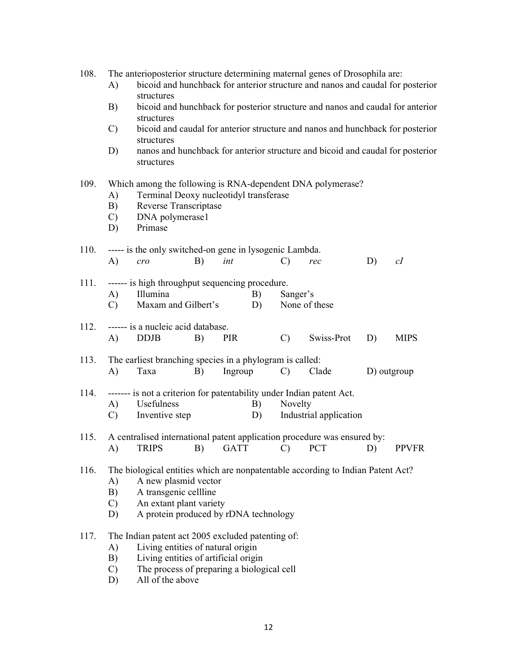| 108. |  |  | The anterioposterior structure determining maternal genes of Drosophila are: |  |
|------|--|--|------------------------------------------------------------------------------|--|
|      |  |  |                                                                              |  |

- A) bicoid and hunchback for anterior structure and nanos and caudal for posterior structures
- B) bicoid and hunchback for posterior structure and nanos and caudal for anterior structures
- C) bicoid and caudal for anterior structure and nanos and hunchback for posterior structures
- D) nanos and hunchback for anterior structure and bicoid and caudal for posterior structures

#### 109. Which among the following is RNA-dependent DNA polymerase?

- A) Terminal Deoxy nucleotidyl transferase
- B) Reverse Transcriptase
- C) DNA polymerase1
- D) Primase

# 110. ----- is the only switched-on gene in lysogenic Lambda.

A) cro B) int C) rec D) cI

| 111. ------ is high throughput sequencing procedure. |                                      |    |                           |  |  |  |  |
|------------------------------------------------------|--------------------------------------|----|---------------------------|--|--|--|--|
|                                                      | Illumina                             | B) | Sanger's                  |  |  |  |  |
|                                                      | $\mathbf{M} = \mathbf{M} \mathbf{M}$ |    | $\mathbf{v}$ $\mathbf{v}$ |  |  |  |  |

C) Maxam and Gilbert's D) None of these

#### 112. ------ is a nucleic acid database. A) DDJB B) PIR C) Swiss-Prot D) MIPS

## 113. The earliest branching species in a phylogram is called: A) Taxa B) Ingroup C) Clade D) outgroup

- 114. ------- is not a criterion for patentability under Indian patent Act. A) Usefulness B) Novelty
	- C) Inventive step D) Industrial application
- 115. A centralised international patent application procedure was ensured by: A) TRIPS B) GATT C) PCT D) PPVFR

#### 116. The biological entities which are nonpatentable according to Indian Patent Act?

- A) A new plasmid vector
- B) A transgenic cellline
- C) An extant plant variety
- D) A protein produced by rDNA technology

#### 117. The Indian patent act 2005 excluded patenting of:

- A) Living entities of natural origin
- B) Living entities of artificial origin
- C) The process of preparing a biological cell
- D) All of the above